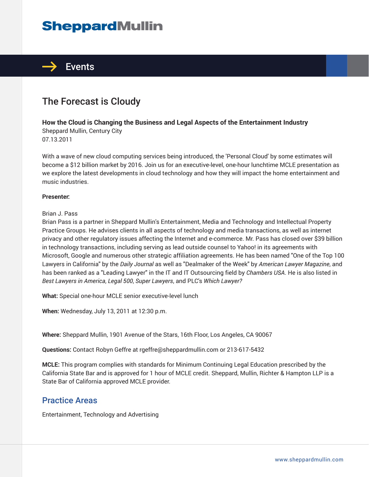# **SheppardMullin**



## The Forecast is Cloudy

#### **How the Cloud is Changing the Business and Legal Aspects of the Entertainment Industry**

Sheppard Mullin, Century City 07.13.2011

With a wave of new cloud computing services being introduced, the 'Personal Cloud' by some estimates will become a \$12 billion market by 2016. Join us for an executive-level, one-hour lunchtime MCLE presentation as we explore the latest developments in cloud technology and how they will impact the home entertainment and music industries.

#### **Presenter:**

#### Brian J. Pass

Brian Pass is a partner in Sheppard Mullin's Entertainment, Media and Technology and Intellectual Property Practice Groups. He advises clients in all aspects of technology and media transactions, as well as internet privacy and other regulatory issues affecting the Internet and e-commerce. Mr. Pass has closed over \$39 billion in technology transactions, including serving as lead outside counsel to Yahoo! in its agreements with Microsoft, Google and numerous other strategic affiliation agreements. He has been named "One of the Top 100 Lawyers in California" by the *Daily Journal* as well as "Dealmaker of the Week" by *American Lawyer Magazine*, and has been ranked as a "Leading Lawyer" in the IT and IT Outsourcing field by *Chambers USA*. He is also listed in *Best Lawyers in America*, *Legal 500*, *Super Lawyers*, and PLC's *Which Lawyer?*

**What:** Special one-hour MCLE senior executive-level lunch

**When:** Wednesday, July 13, 2011 at 12:30 p.m.

**Where:** Sheppard Mullin, 1901 Avenue of the Stars, 16th Floor, Los Angeles, CA 90067

**Questions:** Contact Robyn Geffre at rgeffre@sheppardmullin.com or 213-617-5432

**MCLE:** This program complies with standards for Minimum Continuing Legal Education prescribed by the California State Bar and is approved for 1 hour of MCLE credit. Sheppard, Mullin, Richter & Hampton LLP is a State Bar of California approved MCLE provider.

### Practice Areas

Entertainment, Technology and Advertising